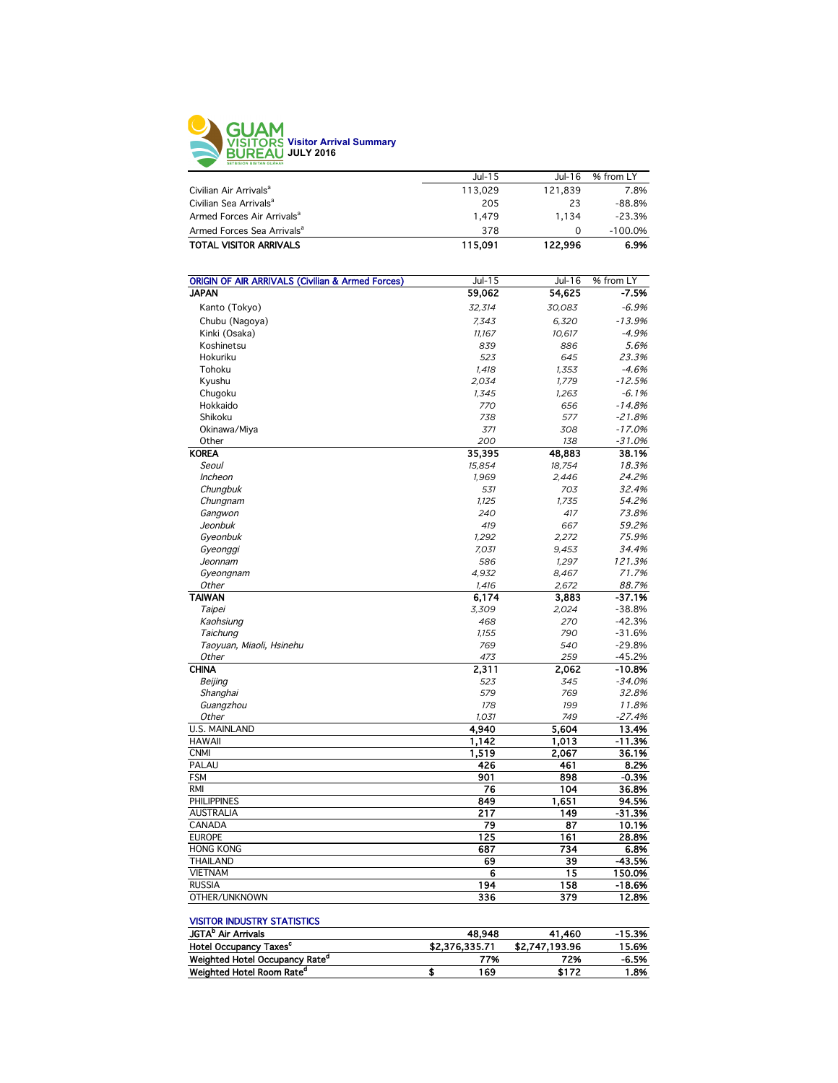

|                                        | $Jul-15$ | $Jul-16$ | % from LY |
|----------------------------------------|----------|----------|-----------|
| Civilian Air Arrivals <sup>a</sup>     | 113.029  | 121.839  | 7.8%      |
| Civilian Sea Arrivals <sup>a</sup>     | 205      | 23       | $-88.8%$  |
| Armed Forces Air Arrivals <sup>a</sup> | 1.479    | 1.134    | $-23.3%$  |
| Armed Forces Sea Arrivals <sup>a</sup> | 378      | 0        | $-100.0%$ |
| <b>TOTAL VISITOR ARRIVALS</b>          | 115.091  | 122,996  | 6.9%      |
|                                        |          |          |           |

| <b>ORIGIN OF AIR ARRIVALS (Civilian &amp; Armed Forces)</b> | $Jul-15$     | Jul-16       | % from LY           |
|-------------------------------------------------------------|--------------|--------------|---------------------|
| <b>JAPAN</b>                                                | 59,062       | 54,625       | $-7.5%$             |
| Kanto (Tokyo)                                               | 32,314       | 30,083       | $-6.9%$             |
| Chubu (Nagoya)                                              | 7,343        | 6,320        | $-13.9%$            |
| Kinki (Osaka)                                               | 11.167       | 10,617       | $-4.9%$             |
| Koshinetsu                                                  | 839          | 886          | 5.6%                |
|                                                             |              |              | 23.3%               |
| Hokuriku<br>Tohoku                                          | 523<br>1.418 | 645<br>1.353 | $-4.6%$             |
| Kyushu                                                      | 2,034        | 1,779        | $-12.5%$            |
|                                                             |              |              |                     |
| Chugoku<br>Hokkaido                                         | 1,345<br>770 | 1,263        | $-6.1%$<br>$-14.8%$ |
|                                                             |              | 656          |                     |
| Shikoku                                                     | 738          | 577          | $-21.8%$            |
| Okinawa/Miya                                                | 371          | 308          | $-17.0%$            |
| Other                                                       | 200          | 138          | $-31.0%$            |
| <b>KOREA</b>                                                | 35,395       | 48,883       | 38.1%               |
| Seoul                                                       | 15,854       | 18,754       | 18.3%               |
| Incheon                                                     | 1,969        | 2,446        | 24.2%               |
| Chungbuk                                                    | 531          | 703          | 32.4%               |
| Chungnam                                                    | 1,125        | 1,735        | 54.2%               |
| Gangwon                                                     | 240          | 417          | 73.8%               |
| Jeonbuk                                                     | 419          | 667          | 59.2%               |
| Gyeonbuk                                                    | 1,292        | 2,272        | 75.9%               |
| Gyeonggi                                                    | 7,031        | 9,453        | 34.4%               |
| Jeonnam                                                     | 586          | 1.297        | 121.3%              |
| Gyeongnam                                                   | 4,932        | 8,467        | 71.7%               |
| Other                                                       | 1,416        | 2,672        | 88.7%               |
| <b>TAIWAN</b>                                               | 6,174        | 3,883        | $-37.1%$            |
| Taipei                                                      | 3,309        | 2,024        | $-38.8%$            |
| Kaohsiung                                                   | 468          | 270          | $-42.3%$            |
| Taichung                                                    | 1.155        | 790          | $-31.6%$            |
| Taoyuan, Miaoli, Hsinehu                                    | 769          | 540          | $-29.8%$            |
| Other                                                       | 473          | 259          | $-45.2%$            |
| <b>CHINA</b>                                                | 2,311        | 2,062        | $-10.8%$            |
| Beijing                                                     | 523          | 345          | $-34.0%$            |
| Shanghai                                                    | 579          | 769          | 32.8%               |
| Guangzhou                                                   | 178          | 199          | 11.8%               |
| <b>Other</b>                                                | 1,031        | 749          | $-27.4%$            |
| <b>U.S. MAINLAND</b>                                        | 4,940        | 5.604        | 13.4%               |
| <b>HAWAII</b>                                               | 1,142        | 1,013        | $-11.3%$            |
| <b>CNMI</b>                                                 | 1,519        | 2,067        | 36.1%               |
| PALAU                                                       | 426          | 461          | 8.2%                |
| <b>FSM</b>                                                  | 901          | 898          | $-0.3%$             |
| <b>RMI</b>                                                  | 76           | 104          | 36.8%               |
| <b>PHILIPPINES</b>                                          | 849          | 1,651        | 94.5%               |
| <b>AUSTRALIA</b>                                            | 217          | 149          | $-31.3%$            |
| CANADA                                                      | 79           | 87           | 10.1%               |
| <b>EUROPE</b>                                               | 125          | 161          | 28.8%               |
| <b>HONG KONG</b>                                            | 687          | 734          | 6.8%                |
| <b>THAILAND</b>                                             | 69           | 39           | -43.5%              |
| <b>VIETNAM</b>                                              | 6            | 15           | 150.0%              |
| <b>RUSSIA</b>                                               | 194          | 158          | $-18.6%$            |
| OTHER/UNKNOWN                                               | 336          | 379          | 12.8%               |

## VISITOR INDUSTRY STATISTICS

| JGTA <sup>b</sup> Air Arrivals             | 48.948         | 41.460         | $-15.3%$ |
|--------------------------------------------|----------------|----------------|----------|
| Hotel Occupancy Taxes <sup>c</sup>         | \$2,376,335,71 | \$2,747,193,96 | 15.6%    |
| Weighted Hotel Occupancy Rate <sup>a</sup> | 77%            | 72%            | $-6.5%$  |
| Weighted Hotel Room Rate <sup>a</sup>      | 169            | \$172          | 1.8%     |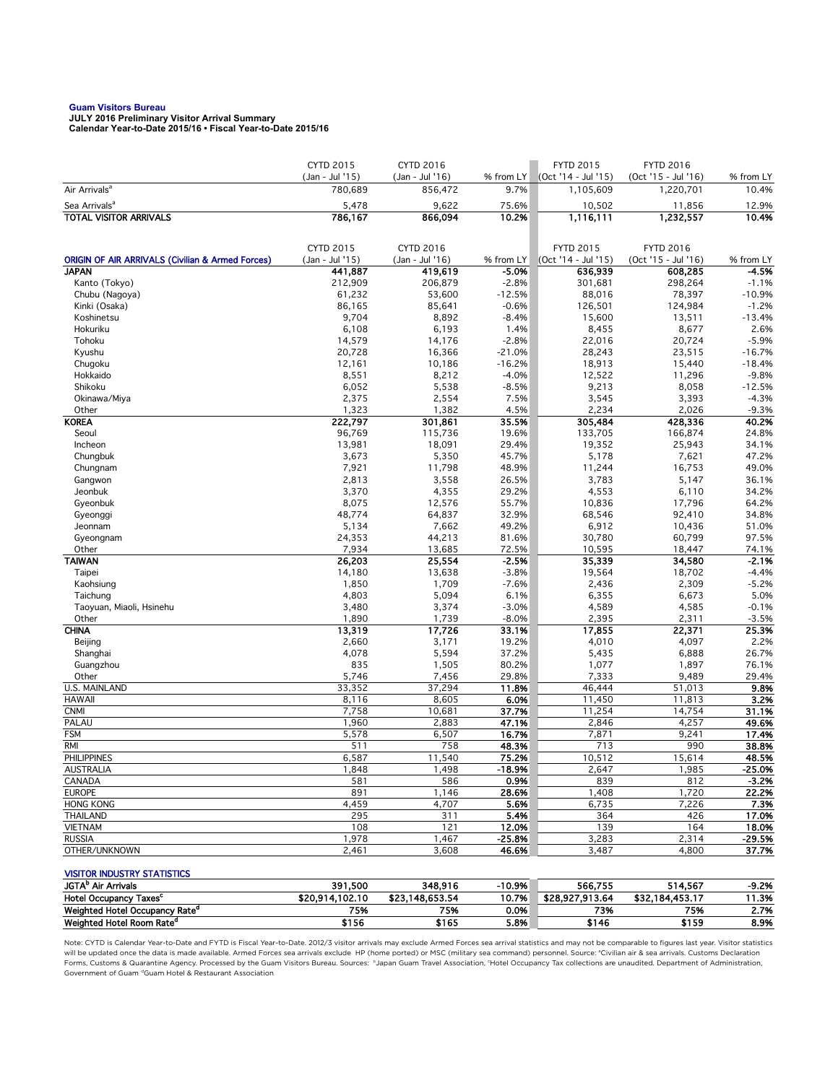**Guam Visitors Bureau JULY 2016 Preliminary Visitor Arrival Summary Calendar Year-to-Date 2015/16 • Fiscal Year-to-Date 2015/16** 

|                                                                             | CYTD 2015          | CYTD 2016          |                  | <b>FYTD 2015</b>    | <b>FYTD 2016</b>    |                    |
|-----------------------------------------------------------------------------|--------------------|--------------------|------------------|---------------------|---------------------|--------------------|
|                                                                             | (Jan - Jul '15)    | (Jan - Jul '16)    | % from LY        | (Oct '14 - Jul '15) | (Oct '15 - Jul '16) | % from LY          |
| Air Arrivals <sup>a</sup>                                                   | 780,689            | 856,472            | 9.7%             | 1,105,609           | 1,220,701           | 10.4%              |
| Sea Arrivals <sup>a</sup>                                                   | 5,478              | 9,622              | 75.6%            | 10,502              | 11,856              | 12.9%              |
| <b>TOTAL VISITOR ARRIVALS</b>                                               | 786,167            | 866,094            | 10.2%            | 1,116,111           | 1,232,557           | 10.4%              |
|                                                                             |                    |                    |                  |                     |                     |                    |
|                                                                             | CYTD 2015          | CYTD 2016          |                  | <b>FYTD 2015</b>    | <b>FYTD 2016</b>    |                    |
| <b>ORIGIN OF AIR ARRIVALS (Civilian &amp; Armed Forces)</b><br><b>JAPAN</b> | (Jan - Jul '15)    | (Jan - Jul '16)    | % from LY        | (Oct '14 - Jul '15) | (Oct '15 - Jul '16) | % from LY          |
| Kanto (Tokyo)                                                               | 441,887<br>212,909 | 419,619<br>206,879 | -5.0%<br>$-2.8%$ | 636,939<br>301,681  | 608,285<br>298,264  | $-4.5%$<br>$-1.1%$ |
| Chubu (Nagoya)                                                              | 61,232             | 53,600             | $-12.5%$         | 88,016              | 78,397              | $-10.9%$           |
| Kinki (Osaka)                                                               | 86,165             | 85,641             | $-0.6%$          | 126,501             | 124,984             | $-1.2%$            |
| Koshinetsu                                                                  | 9,704              | 8,892              | $-8.4%$          | 15,600              | 13,511              | $-13.4%$           |
| Hokuriku                                                                    | 6,108              | 6,193              | 1.4%             | 8,455               | 8,677               | 2.6%               |
| Tohoku                                                                      | 14,579             | 14,176             | $-2.8%$          | 22,016              | 20,724              | $-5.9%$            |
| Kyushu                                                                      | 20,728             | 16,366             | $-21.0%$         | 28,243              | 23,515              | $-16.7%$           |
| Chugoku                                                                     | 12,161             | 10,186             | $-16.2%$         | 18,913              | 15,440              | $-18.4%$           |
| Hokkaido                                                                    | 8,551              | 8,212              | $-4.0%$          | 12,522              | 11,296              | $-9.8%$            |
| Shikoku                                                                     | 6,052              | 5,538              | $-8.5%$          | 9,213               | 8,058               | $-12.5%$           |
| Okinawa/Miya                                                                | 2,375              | 2,554              | 7.5%             | 3,545               | 3,393               | $-4.3%$            |
| Other                                                                       | 1,323              | 1,382              | 4.5%             | 2,234               | 2,026               | $-9.3%$            |
| <b>KOREA</b>                                                                | 222,797            | 301,861            | 35.5%            | 305,484             | 428,336             | 40.2%              |
| Seoul                                                                       | 96,769             | 115,736            | 19.6%            | 133,705             | 166,874             | 24.8%              |
| Incheon                                                                     | 13,981             | 18,091             | 29.4%            | 19,352              | 25,943              | 34.1%              |
| Chungbuk                                                                    | 3,673              | 5,350              | 45.7%            | 5,178               | 7,621               | 47.2%              |
| Chungnam                                                                    | 7,921              | 11,798             | 48.9%            | 11,244              | 16,753              | 49.0%              |
| Gangwon                                                                     | 2,813              | 3,558              | 26.5%            | 3,783               | 5,147               | 36.1%              |
| Jeonbuk                                                                     | 3,370              | 4,355              | 29.2%            | 4,553               | 6,110               | 34.2%              |
| Gyeonbuk                                                                    | 8,075              | 12,576             | 55.7%<br>32.9%   | 10,836              | 17,796              | 64.2%<br>34.8%     |
| Gyeonggi<br>Jeonnam                                                         | 48,774<br>5,134    | 64,837<br>7,662    | 49.2%            | 68,546<br>6,912     | 92,410<br>10,436    | 51.0%              |
| Gyeongnam                                                                   | 24,353             | 44,213             | 81.6%            | 30,780              | 60,799              | 97.5%              |
| Other                                                                       | 7,934              | 13,685             | 72.5%            | 10,595              | 18,447              | 74.1%              |
| <b>TAIWAN</b>                                                               | 26,203             | 25,554             | $-2.5%$          | 35,339              | 34,580              | $-2.1%$            |
| Taipei                                                                      | 14,180             | 13,638             | $-3.8%$          | 19,564              | 18,702              | -4.4%              |
| Kaohsiung                                                                   | 1,850              | 1,709              | $-7.6%$          | 2,436               | 2,309               | $-5.2%$            |
| Taichung                                                                    | 4,803              | 5,094              | 6.1%             | 6,355               | 6,673               | 5.0%               |
| Taoyuan, Miaoli, Hsinehu                                                    | 3,480              | 3,374              | $-3.0%$          | 4,589               | 4,585               | $-0.1%$            |
| Other                                                                       | 1,890              | 1,739              | $-8.0%$          | 2,395               | 2,311               | $-3.5%$            |
| <b>CHINA</b>                                                                | 13,319             | 17,726             | 33.1%            | 17,855              | 22,371              | 25.3%              |
| Beijing                                                                     | 2,660              | 3,171              | 19.2%            | 4,010               | 4,097               | 2.2%               |
| Shanghai                                                                    | 4,078              | 5,594              | 37.2%            | 5,435               | 6,888               | 26.7%              |
| Guangzhou                                                                   | 835                | 1,505              | 80.2%            | 1,077               | 1,897               | 76.1%              |
| Other                                                                       | 5,746              | 7,456              | 29.8%            | 7,333               | 9,489               | 29.4%              |
| U.S. MAINLAND                                                               | 33,352             | 37,294             | 11.8%            | 46,444              | 51,013              | 9.8%               |
| <b>HAWAII</b>                                                               | 8,116              | 8,605              | 6.0%             | 11,450              | 11,813              | 3.2%               |
| <b>CNMI</b>                                                                 | 7,758              | 10,681             | 37.7%            | 11,254              | 14,754              | 31.1%              |
| PALAU                                                                       | 1,960              | 2,883              | 47.1%            | 2,846               | 4,257               | 49.6%              |
| <b>FSM</b><br><b>RMI</b>                                                    | 5,578<br>511       | 6,507<br>758       | 16.7%<br>48.3%   | 7,871<br>713        | 9,241<br>990        | 17.4%<br>38.8%     |
| <b>PHILIPPINES</b>                                                          | 6,587              | 11,540             | 75.2%            | 10,512              | 15,614              | 48.5%              |
| AUSTRALIA                                                                   | 1,848              | 1,498              | $-18.9%$         | 2,647               | 1,985               | -25.0%             |
| CANADA                                                                      | 581                | 586                | 0.9%             | 839                 | 812                 | $-3.2%$            |
| <b>EUROPE</b>                                                               | 891                | 1,146              | 28.6%            | 1,408               | 1,720               | 22.2%              |
| <b>HONG KONG</b>                                                            | 4,459              | 4,707              | 5.6%             | 6,735               | 7,226               | 7.3%               |
| <b>THAILAND</b>                                                             | 295                | 311                | 5.4%             | 364                 | 426                 | 17.0%              |
| <b>VIETNAM</b>                                                              | 108                | 121                | 12.0%            | 139                 | 164                 | 18.0%              |
| <b>RUSSIA</b>                                                               | 1,978              | 1,467              | $-25.8%$         | 3,283               | 2,314               | $-29.5%$           |
| OTHER/UNKNOWN                                                               | 2,461              | 3,608              | 46.6%            | 3,487               | 4,800               | 37.7%              |
|                                                                             |                    |                    |                  |                     |                     |                    |
| <b>VISITOR INDUSTRY STATISTICS</b>                                          |                    |                    |                  |                     |                     |                    |
| JGTA <sup>b</sup> Air Arrivals                                              | 391,500            | 348,916            | $-10.9%$         | 566,755             | 514,567             | $-9.2%$            |
| Hotel Occupancy Taxes <sup>c</sup>                                          | \$20,914,102.10    | \$23,148,653.54    | 10.7%            | \$28,927,913.64     | \$32,184,453.17     | 11.3%              |

Note: CYTD is Calendar Year-to-Date and FYTD is Fiscal Year-to-Date. 2012/3 visitor arrivals may exclude Armed Forces sea arrival statistics and may not be comparable to figures last year. Visitor statistics will be updated once the data is made available. Armed Forces sea arrivals exclude HP (home ported) or MSC (military sea command) personnel. Source: °Civilian air & sea arrivals. Customs Declaration<br>Forms, Customs & Quaran Government of Guam dGuam Hotel & Restaurant Association

Weighted Hotel Occupancy Rate<sup>d</sup> 75% 75% 0.0% 73% 75% 2.7% Weighted Hotel Room Rate<sup>d</sup> \$156 \$165 5.8% \$146 \$159 8.9%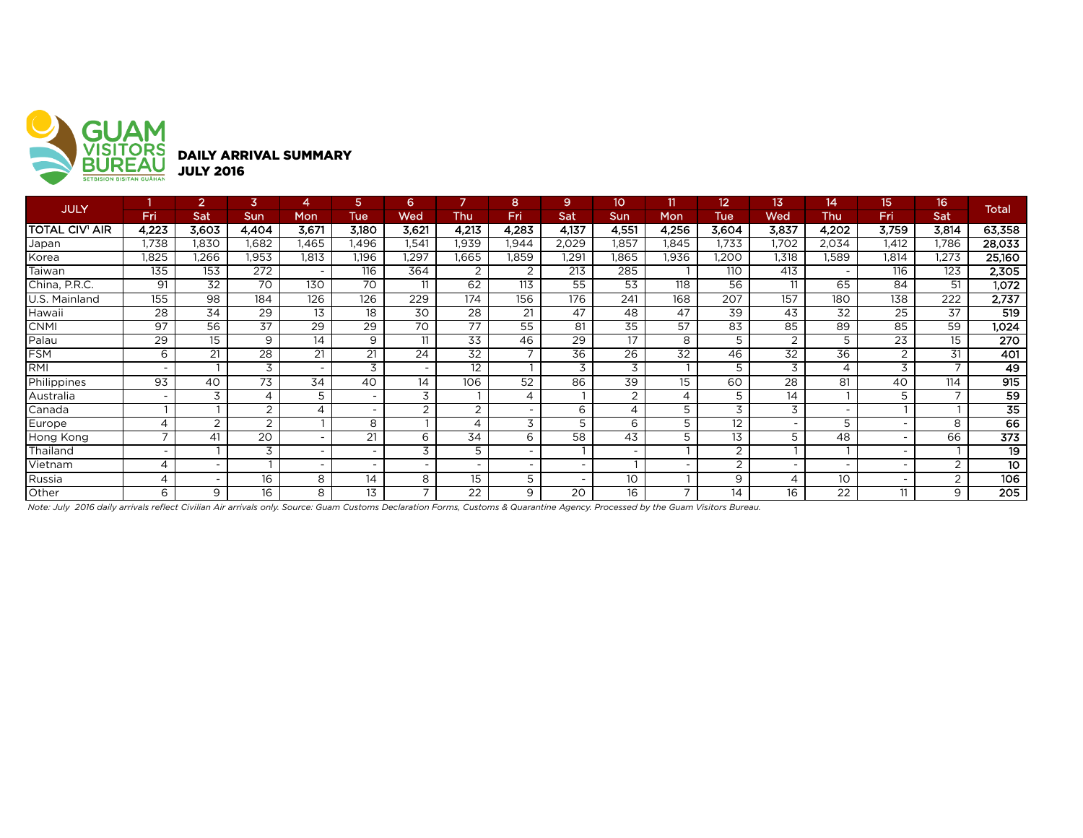

| <b>JULY</b>           |                          | $\overline{2}$           | 3                        |                          | 5               | 6                        |                          | 8                        | 9                        | 10 <sup>2</sup>          | 11                       | 12    | 13                       | 14                       | 15    | 16                       | Total  |
|-----------------------|--------------------------|--------------------------|--------------------------|--------------------------|-----------------|--------------------------|--------------------------|--------------------------|--------------------------|--------------------------|--------------------------|-------|--------------------------|--------------------------|-------|--------------------------|--------|
|                       | Fri                      | Sat                      | Sun                      | Mon                      | Tue             | Wed                      | Thu                      | Fri                      | Sat                      | Sun                      | Mon                      | Tue   | Wed                      | Thu                      | Fri   | Sat                      |        |
| <b>TOTAL CIV' AIR</b> | 4.223                    | 3.603                    | 4,404                    | 3.671                    | 3.180           | 3.621                    | 4.213                    | 4,283                    | 4,137                    | 4,551                    | 4.256                    | 3,604 | 3,837                    | 4.202                    | 3.759 | 3,814                    | 63,358 |
| Japan                 | 1,738                    | 1,830                    | .682                     | l.465                    | .496            | .541                     | 1,939                    | 1,944                    | 2,029                    | 1,857                    | ,845                     | 1,733 | 1,702                    | 2,034                    | 1,412 | 1,786                    | 28,033 |
| Korea                 | 1,825                    | .266                     | .953                     | 1,813                    | 1,196           | .297                     | 1,665                    | .859                     | 1,291                    | .865                     | .936                     | ,200  | 1.318                    | l,589                    | 1,814 | .273                     | 25,160 |
| Taiwan                | 135                      | 153                      | 272                      | $\overline{\phantom{0}}$ | 116             | 364                      | 2                        | 2                        | 213                      | 285                      |                          | 110   | 413                      | $\overline{\phantom{0}}$ | 116   | 123                      | 2,305  |
| China, P.R.C.         | 91                       | 32                       | 70                       | 130                      | 70              |                          | 62                       | 113                      | 55                       | 53                       | 118                      | 56    | 11                       | 65                       | 84    | 51                       | 1,072  |
| U.S. Mainland         | 155                      | 98                       | 184                      | 126                      | 126             | 229                      | 174                      | 156                      | 176                      | 241                      | 168                      | 207   | 157                      | 180                      | 138   | 222                      | 2,737  |
| Hawaii                | 28                       | 34                       | 29                       | 13                       | 18              | 30                       | 28                       | 21                       | 47                       | 48                       | 47                       | 39    | 43                       | 32                       | 25    | 37                       | 519    |
| <b>CNMI</b>           | 97                       | 56                       | $\overline{37}$          | 29                       | $\overline{29}$ | 70                       | $\overline{77}$          | 55                       | 81                       | 35                       | 57                       | 83    | 85                       | 89                       | 85    | 59                       | 1,024  |
| Palau                 | 29                       | 15                       | 9                        | 14                       | 9               | 11                       | 33                       | 46                       | 29                       | 17                       | 8                        | 5     | 2                        | 5                        | 23    | 15                       | 270    |
| <b>FSM</b>            | 6                        | 21                       | 28                       | 21                       | 21              | 24                       | 32                       | $\overline{\phantom{0}}$ | 36                       | 26                       | 32                       | 46    | 32                       | 36                       | 2     | 31                       | 401    |
| <b>RMI</b>            | $\overline{\phantom{a}}$ |                          | 3                        |                          | 3               |                          | 12                       |                          | 3                        | 3                        |                          | 5     | 3                        | 4                        | 3     |                          | 49     |
| Philippines           | 93                       | 40                       | 73                       | 34                       | 40              | 14                       | 106                      | 52                       | 86                       | 39                       | 15 <sup>15</sup>         | 60    | 28                       | 81                       | 40    | 114                      | 915    |
| Australia             | $\overline{\phantom{a}}$ | 3                        | $\overline{\mathcal{A}}$ | 5                        |                 | 3                        |                          | 4                        |                          | 2                        | 4                        | 5     | 14                       |                          | 5     | $\overline{\phantom{0}}$ | 59     |
| Canada                |                          |                          | 2                        | 4                        |                 | $\overline{2}$           | 2                        |                          | 6                        | $\overline{4}$           | 5                        | 3     | 3                        | $\sim$                   |       |                          | 35     |
| Europe                | $\overline{4}$           | $\overline{2}$           | $\overline{2}$           |                          | 8               |                          | 4                        | 3                        | 5                        | 6                        | 5                        | 12    | $\overline{\phantom{0}}$ | 5                        |       | 8                        | 66     |
| Hong Kong             | $\overline{ }$           | 41                       | 20                       |                          | 21              | 6                        | 34                       | 6                        | 58                       | 43                       | 5                        | 13    | 5                        | 48                       |       | 66                       | 373    |
| Thailand              | $\overline{\phantom{0}}$ |                          | 3                        |                          |                 | 3                        |                          |                          |                          | $\overline{\phantom{0}}$ |                          | C.    |                          |                          |       |                          | 19     |
| Vietnam               | $\overline{4}$           | ٠                        |                          | $\overline{\phantom{0}}$ |                 | $\overline{\phantom{0}}$ | $\overline{\phantom{0}}$ |                          | $\overline{\phantom{0}}$ |                          | $\overline{\phantom{0}}$ | 2     | ٠                        | $\overline{\phantom{0}}$ |       | 2                        | 10     |
| Russia                | $\overline{\mathcal{A}}$ | $\overline{\phantom{a}}$ | 16                       | 8                        | 14              | 8                        | 15                       | 5                        |                          | 10                       |                          | 9     |                          | 10 <sup>°</sup>          |       | 2                        | 106    |
| Other                 | 6                        | 9                        | 16                       | 8                        | 13              | $\overline{ }$           | 22                       | 9                        | 20                       | 16                       | $\overline{ }$           | 14    | 16                       | 22                       | 11    | 9                        | 205    |

*Note: July 2016 daily arrivals reflect Civilian Air arrivals only. Source: Guam Customs Declaration Forms, Customs & Quarantine Agency. Processed by the Guam Visitors Bureau.*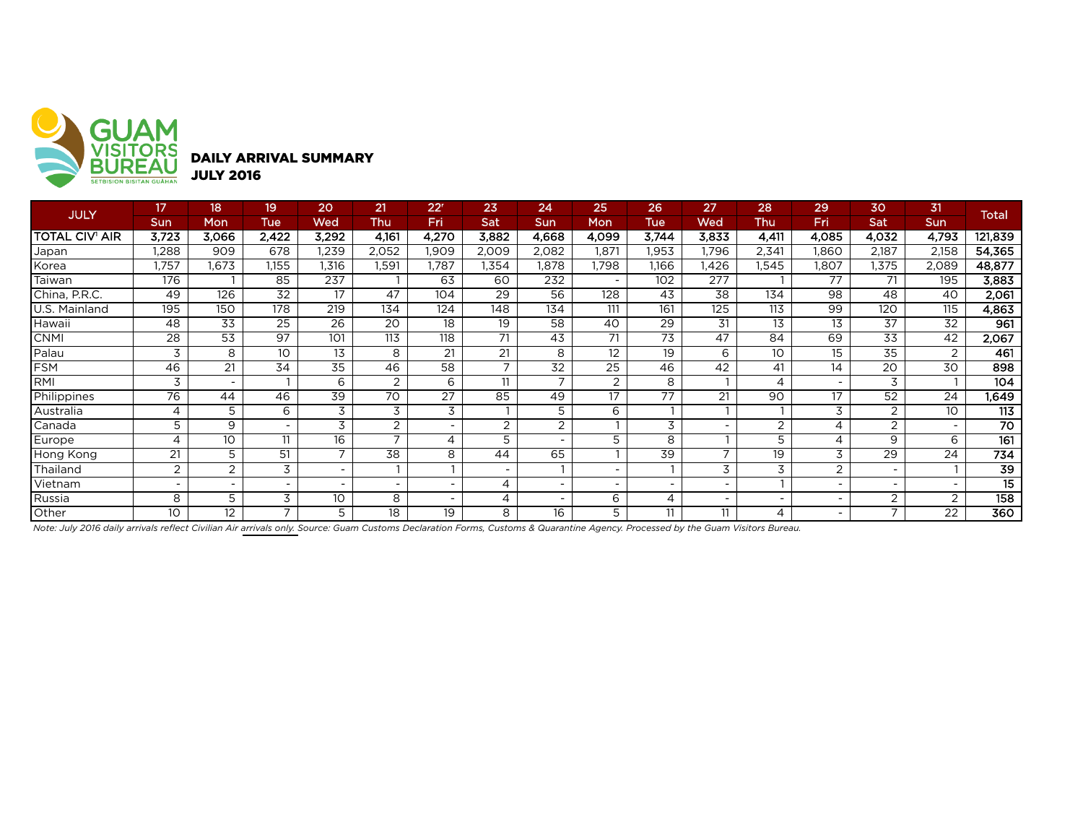

| <b>JULY</b>    | 17                       | 18    | 19                       | 20                       | 21             | $22^r$                   | 23                       | 24    | 25    | 26         | 27                       | 28                       | 29    | 30    | 31         | <b>Total</b>    |
|----------------|--------------------------|-------|--------------------------|--------------------------|----------------|--------------------------|--------------------------|-------|-------|------------|--------------------------|--------------------------|-------|-------|------------|-----------------|
|                | Sun                      | Mon   | Tue                      | Wed                      | Thu            | Fri                      | Sat                      | Sun   | Mon   | <b>Tue</b> | Wed                      | Thu                      | Fri   | Sat   | <b>Sun</b> |                 |
| TOTAL CIV' AIR | 3,723                    | 3,066 | 2,422                    | 3,292                    | 4,161          | 4,270                    | 3,882                    | 4,668 | 4,099 | 3,744      | 3,833                    | 4,411                    | 4,085 | 4,032 | 4,793      | 121,839         |
| Japan          | 1,288                    | 909   | 678                      | 1,239                    | 2,052          | 1.909                    | 2,009                    | 2,082 | 1.871 | 1,953      | .796                     | 2,341                    | 1,860 | 2,187 | 2,158      | 54,365          |
| Korea          | ,757                     | .673  | 1,155                    | 1,316                    | 1,591          | 1,787                    | .354                     | 1,878 | 1,798 | 1,166      | l,426                    | 1,545                    | 1,807 | 1,375 | 2,089      | 48,877          |
| Taiwan         | 176                      |       | 85                       | 237                      |                | 63                       | 60                       | 232   |       | 102        | 277                      |                          | 77    | 71    | 195        | 3,883           |
| China, P.R.C.  | 49                       | 126   | 32                       | 17                       | 47             | 104                      | 29                       | 56    | 128   | 43         | 38                       | 134                      | 98    | 48    | 40         | 2,061           |
| U.S. Mainland  | 195                      | 150   | 178                      | 219                      | 134            | 124                      | 148                      | 134   | 111   | 161        | 125                      | 113                      | 99    | 120   | 115        | 4,863           |
| Hawaii         | 48                       | 33    | 25                       | 26                       | 20             | 18                       | 19                       | 58    | 40    | 29         | 31                       | 13                       | 13    | 37    | 32         | 961             |
| <b>CNMI</b>    | 28                       | 53    | 97                       | 101                      | 113            | 118                      | 71                       | 43    | 71    | 73         | 47                       | 84                       | 69    | 33    | 42         | 2,067           |
| Palau          | 3                        | 8     | 10                       | 13                       | 8              | 21                       | 21                       | 8     | 12    | 19         | 6                        | 10                       | 15    | 35    | 2          | 461             |
| FSM            | 46                       | 21    | 34                       | 35                       | 46             | 58                       | $\overline{\phantom{a}}$ | 32    | 25    | 46         | 42                       | 41                       | 14    | 20    | 30         | 898             |
| RMI            | 3                        |       |                          | 6                        | 2              | 6                        | 11                       |       | 2     | 8          |                          | 4                        |       |       |            | 104             |
| Philippines    | 76                       | 44    | 46                       | 39                       | 70             | 27                       | 85                       | 49    | 17    | 77         | 21                       | 90                       | 17    | 52    | 24         | 1,649           |
| Australia      | 4                        | 5     | 6                        | 3                        | 3              | 3                        |                          | 5     | 6     |            |                          |                          | 3     |       | 10         | 113             |
| Canada         | 5                        | 9     | $\overline{\phantom{a}}$ | 3                        | 2              | $\overline{\phantom{0}}$ | 2                        | 2     |       | 3          | $\overline{\phantom{0}}$ | 2                        | 4     | 2     |            | $\overline{70}$ |
| Europe         | $\overline{\mathcal{A}}$ | 10    | 11                       | 16                       | $\overline{ }$ | 4                        | 5                        |       | 5     | 8          |                          | 5                        | 4     | 9     | 6          | 161             |
| Hong Kong      | 21                       | 5     | 51                       | ⇁                        | 38             | 8                        | 44                       | 65    |       | 39         | $\overline{ }$           | 19                       | 3     | 29    | 24         | 734             |
| Thailand       | 2                        | 2     | 3                        |                          |                |                          |                          |       |       |            | 3                        | 3                        | 2     |       |            | 39              |
| Vietnam        |                          |       |                          | $\overline{\phantom{0}}$ |                |                          | 4                        |       |       |            |                          |                          |       |       |            | 15              |
| Russia         | 8                        | 5     | 3                        | 10                       | 8              |                          | 4                        |       | 6     | 4          | $\overline{\phantom{0}}$ | $\overline{\phantom{a}}$ |       | 2     | 2          | 158             |
| Other          | 10                       | 12    | $\overline{ }$           | 5                        | 18             | 19                       | 8                        | 16    | 5     | 11         | 11                       | 4                        |       |       | 22         | 360             |

*Note: July 2016 daily arrivals reflect Civilian Air arrivals only. Source: Guam Customs Declaration Forms, Customs & Quarantine Agency. Processed by the Guam Visitors Bureau.*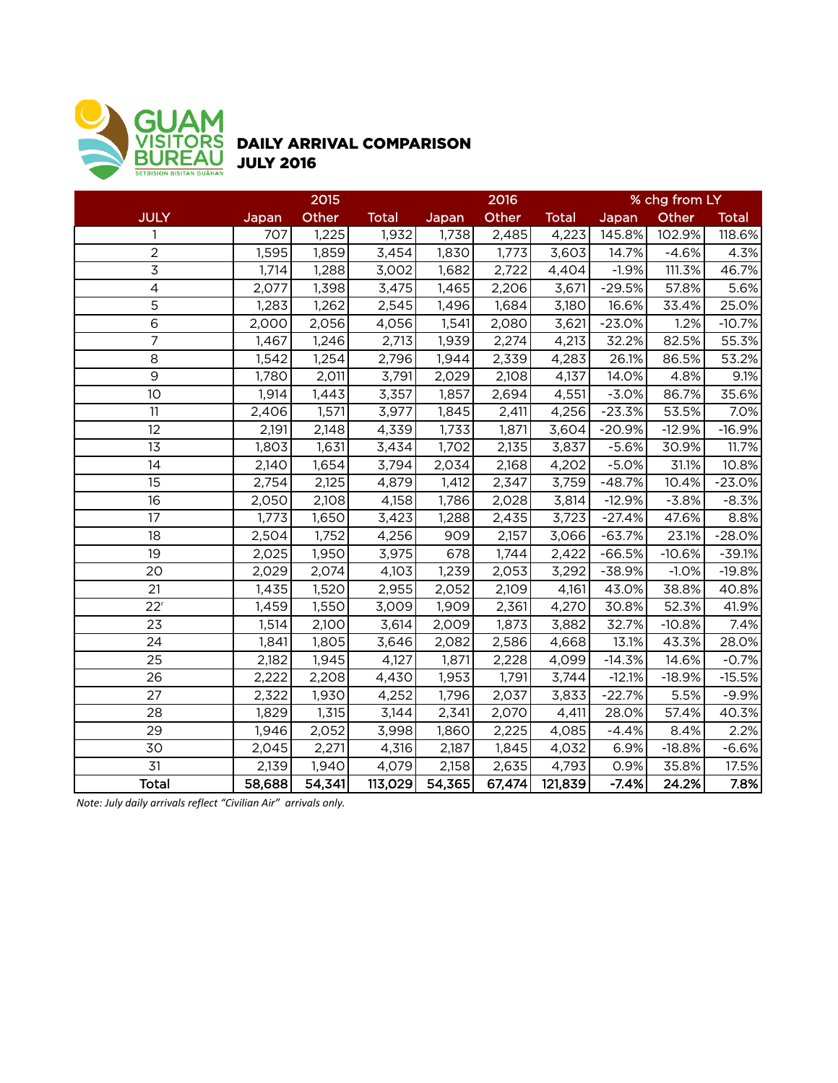

## DAILY ARRIVAL COMPARISON JULY 2016

|                 |        | 2015   |              |        | 2016   |              |          | % chg from LY |              |
|-----------------|--------|--------|--------------|--------|--------|--------------|----------|---------------|--------------|
| <b>JULY</b>     | Japan  | Other  | <b>Total</b> | Japan  | Other  | <b>Total</b> | Japan    | Other         | <b>Total</b> |
| $\mathbf{1}$    | 707    | 1,225  | 1,932        | 1,738  | 2,485  | 4,223        | 145.8%   | 102.9%        | 118.6%       |
| $\overline{2}$  | 1,595  | 1,859  | 3,454        | 1,830  | 1,773  | 3,603        | 14.7%    | $-4.6%$       | 4.3%         |
| $\overline{3}$  | 1,714  | 1,288  | 3,002        | 1,682  | 2,722  | 4,404        | $-1.9%$  | 111.3%        | 46.7%        |
| $\overline{4}$  | 2,077  | 1,398  | 3,475        | 1,465  | 2,206  | 3,671        | $-29.5%$ | 57.8%         | 5.6%         |
| $\overline{5}$  | 1,283  | 1,262  | 2,545        | 1,496  | 1,684  | 3,180        | 16.6%    | 33.4%         | 25.0%        |
| 6               | 2,000  | 2,056  | 4,056        | 1,541  | 2,080  | 3,621        | $-23.0%$ | 1.2%          | $-10.7%$     |
| $\overline{7}$  | 1,467  | 1,246  | 2,713        | 1,939  | 2,274  | 4,213        | 32.2%    | 82.5%         | 55.3%        |
| 8               | 1,542  | 1,254  | 2,796        | 1,944  | 2,339  | 4,283        | 26.1%    | 86.5%         | 53.2%        |
| $\overline{9}$  | 1,780  | 2,011  | 3,791        | 2,029  | 2,108  | 4,137        | 14.0%    | 4.8%          | 9.1%         |
| 10              | 1,914  | 1,443  | 3,357        | 1,857  | 2,694  | 4,551        | $-3.0%$  | 86.7%         | 35.6%        |
| 11              | 2,406  | 1,571  | 3,977        | 1,845  | 2,411  | 4,256        | $-23.3%$ | 53.5%         | 7.0%         |
| 12              | 2,191  | 2,148  | 4,339        | 1,733  | 1,871  | 3,604        | $-20.9%$ | $-12.9%$      | $-16.9%$     |
| 13              | 1,803  | 1,631  | 3,434        | 1,702  | 2,135  | 3,837        | $-5.6%$  | 30.9%         | 11.7%        |
| 14              | 2,140  | 1,654  | 3,794        | 2,034  | 2,168  | 4,202        | $-5.0%$  | 31.1%         | 10.8%        |
| 15              | 2,754  | 2,125  | 4,879        | 1,412  | 2,347  | 3,759        | $-48.7%$ | 10.4%         | $-23.0%$     |
| 16              | 2,050  | 2,108  | 4,158        | 1,786  | 2,028  | 3,814        | $-12.9%$ | $-3.8%$       | $-8.3%$      |
| 17              | 1,773  | 1,650  | 3,423        | 1,288  | 2,435  | 3,723        | $-27.4%$ | 47.6%         | 8.8%         |
| 18              | 2,504  | 1,752  | 4,256        | 909    | 2,157  | 3,066        | $-63.7%$ | 23.1%         | $-28.0%$     |
| 19              | 2,025  | 1,950  | 3,975        | 678    | 1,744  | 2,422        | $-66.5%$ | $-10.6%$      | $-39.1%$     |
| 20              | 2,029  | 2,074  | 4,103        | 1,239  | 2,053  | 3,292        | $-38.9%$ | $-1.0%$       | $-19.8%$     |
| 21              | 1,435  | 1,520  | 2,955        | 2,052  | 2,109  | 4,161        | 43.0%    | 38.8%         | 40.8%        |
| 22 <sup>r</sup> | 1,459  | 1,550  | 3,009        | 1,909  | 2,361  | 4,270        | 30.8%    | 52.3%         | 41.9%        |
| 23              | 1,514  | 2,100  | 3,614        | 2,009  | 1,873  | 3,882        | 32.7%    | $-10.8%$      | 7.4%         |
| 24              | 1,841  | 1,805  | 3,646        | 2,082  | 2,586  | 4,668        | 13.1%    | 43.3%         | 28.0%        |
| 25              | 2,182  | 1,945  | 4,127        | 1,871  | 2,228  | 4,099        | $-14.3%$ | 14.6%         | $-0.7%$      |
| 26              | 2,222  | 2,208  | 4,430        | 1,953  | 1,791  | 3,744        | $-12.1%$ | $-18.9%$      | $-15.5%$     |
| 27              | 2,322  | 1,930  | 4,252        | 1,796  | 2,037  | 3,833        | $-22.7%$ | 5.5%          | $-9.9%$      |
| 28              | 1,829  | 1,315  | 3,144        | 2,341  | 2,070  | 4,411        | 28.0%    | 57.4%         | 40.3%        |
| 29              | 1,946  | 2,052  | 3,998        | 1,860  | 2,225  | 4,085        | $-4.4%$  | 8.4%          | 2.2%         |
| 30              | 2,045  | 2,271  | 4,316        | 2,187  | 1,845  | 4,032        | 6.9%     | $-18.8%$      | $-6.6%$      |
| 31              | 2,139  | 1,940  | 4,079        | 2,158  | 2,635  | 4,793        | 0.9%     | 35.8%         | 17.5%        |
| <b>Total</b>    | 58,688 | 54,341 | 113,029      | 54,365 | 67,474 | 121,839      | $-7.4%$  | 24.2%         | 7.8%         |

*Note: July daily arrivals reflect "Civilian Air" arrivals only.*